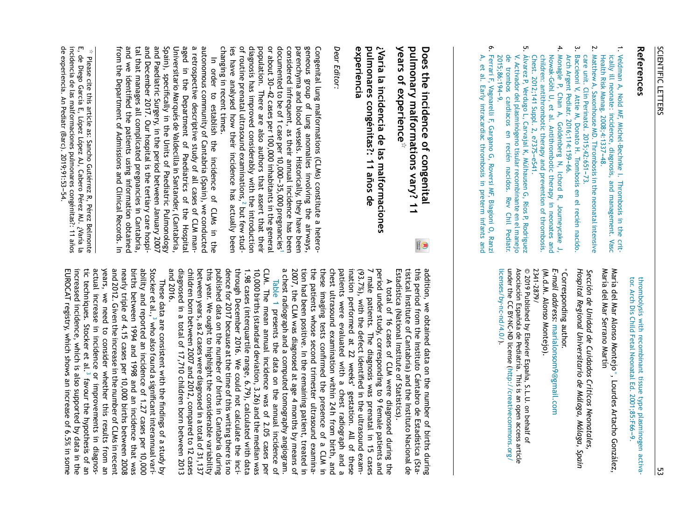## References **References**

- $\overline{.}$ [Veldman](http://refhub.elsevier.com/S2341-2879(19)30084-5/sbref0035) [A,](http://refhub.elsevier.com/S2341-2879(19)30084-5/sbref0035) [Nold](http://refhub.elsevier.com/S2341-2879(19)30084-5/sbref0035) [MF,](http://refhub.elsevier.com/S2341-2879(19)30084-5/sbref0035) [Michel-Bechnke](http://refhub.elsevier.com/S2341-2879(19)30084-5/sbref0035) [I.](http://refhub.elsevier.com/S2341-2879(19)30084-5/sbref0035) [Thrombosis](http://refhub.elsevier.com/S2341-2879(19)30084-5/sbref0035) [in](http://refhub.elsevier.com/S2341-2879(19)30084-5/sbref0035), [the](http://refhub.elsevier.com/S2341-2879(19)30084-5/sbref0035) [crit](http://refhub.elsevier.com/S2341-2879(19)30084-5/sbref0035)[ically](http://refhub.elsevier.com/S2341-2879(19)30084-5/sbref0035)  $\equiv$ [neonate:](http://refhub.elsevier.com/S2341-2879(19)30084-5/sbref0035) [incidence,](http://refhub.elsevier.com/S2341-2879(19)30084-5/sbref0035) [diagnosis,](http://refhub.elsevier.com/S2341-2879(19)30084-5/sbref0035) [and](http://refhub.elsevier.com/S2341-2879(19)30084-5/sbref0035) [management.](http://refhub.elsevier.com/S2341-2879(19)30084-5/sbref0035) [Vasc](http://refhub.elsevier.com/S2341-2879(19)30084-5/sbref0035) [Health](http://refhub.elsevier.com/S2341-2879(19)30084-5/sbref0035) [Risk](http://refhub.elsevier.com/S2341-2879(19)30084-5/sbref0035) [Manag.](http://refhub.elsevier.com/S2341-2879(19)30084-5/sbref0035) [2008;4:1337---48.](http://refhub.elsevier.com/S2341-2879(19)30084-5/sbref0035)
- بر. [Matthew](http://refhub.elsevier.com/S2341-2879(19)30084-5/sbref0040) [A,](http://refhub.elsevier.com/S2341-2879(19)30084-5/sbref0040) [Saxonhouse](http://refhub.elsevier.com/S2341-2879(19)30084-5/sbref0040)  $\breve{\tilde{\Xi}}$ [Thrombosis](http://refhub.elsevier.com/S2341-2879(19)30084-5/sbref0040) [in](http://refhub.elsevier.com/S2341-2879(19)30084-5/sbref0040) Si [the](http://refhub.elsevier.com/S2341-2879(19)30084-5/sbref0040) [neonatal](http://refhub.elsevier.com/S2341-2879(19)30084-5/sbref0040) [intensive](http://refhub.elsevier.com/S2341-2879(19)30084-5/sbref0040) [care](http://refhub.elsevier.com/S2341-2879(19)30084-5/sbref0040) [unit.](http://refhub.elsevier.com/S2341-2879(19)30084-5/sbref0040) [Clin](http://refhub.elsevier.com/S2341-2879(19)30084-5/sbref0040) Perinatol. 2015;42:651-73 [Perinatol.](http://refhub.elsevier.com/S2341-2879(19)30084-5/sbref0040) [2015;42:651---73.](http://refhub.elsevier.com/S2341-2879(19)30084-5/sbref0040) [recién](http://refhub.elsevier.com/S2341-2879(19)30084-5/sbref0045)
- بب [Baccieoni](http://refhub.elsevier.com/S2341-2879(19)30084-5/sbref0045)  $\,<$ [Attie](http://refhub.elsevier.com/S2341-2879(19)30084-5/sbref0045) [M,](http://refhub.elsevier.com/S2341-2879(19)30084-5/sbref0045) [Donato](http://refhub.elsevier.com/S2341-2879(19)30084-5/sbref0045) [H.](http://refhub.elsevier.com/S2341-2879(19)30084-5/sbref0045) [Trombosis](http://refhub.elsevier.com/S2341-2879(19)30084-5/sbref0045) [en](http://refhub.elsevier.com/S2341-2879(19)30084-5/sbref0045) [el](http://refhub.elsevier.com/S2341-2879(19)30084-5/sbref0045) [nacido.](http://refhub.elsevier.com/S2341-2879(19)30084-5/sbref0045) [Arch](http://refhub.elsevier.com/S2341-2879(19)30084-5/sbref0045) [Argent](http://refhub.elsevier.com/S2341-2879(19)30084-5/sbref0045) [Pediatr.](http://refhub.elsevier.com/S2341-2879(19)30084-5/sbref0045) [2016;114:159](http://refhub.elsevier.com/S2341-2879(19)30084-5/sbref0045)-[66.](http://refhub.elsevier.com/S2341-2879(19)30084-5/sbref0045) [Chan](http://refhub.elsevier.com/S2341-2879(19)30084-5/sbref0050) [Ichord](http://refhub.elsevier.com/S2341-2879(19)30084-5/sbref0050)
- 4. [Monagle](http://refhub.elsevier.com/S2341-2879(19)30084-5/sbref0050) [P,](http://refhub.elsevier.com/S2341-2879(19)30084-5/sbref0050) [A,](http://refhub.elsevier.com/S2341-2879(19)30084-5/sbref0050) [Goldenberg](http://refhub.elsevier.com/S2341-2879(19)30084-5/sbref0050) [N,](http://refhub.elsevier.com/S2341-2879(19)30084-5/sbref0050) بح [Journeycake](http://refhub.elsevier.com/S2341-2879(19)30084-5/sbref0050) [J,](http://refhub.elsevier.com/S2341-2879(19)30084-5/sbref0050) [Nowak-Göhl](http://refhub.elsevier.com/S2341-2879(19)30084-5/sbref0050) [U,](http://refhub.elsevier.com/S2341-2879(19)30084-5/sbref0050) Զ [al.](http://refhub.elsevier.com/S2341-2879(19)30084-5/sbref0050) [Antithrombotic](http://refhub.elsevier.com/S2341-2879(19)30084-5/sbref0050) [therapy](http://refhub.elsevier.com/S2341-2879(19)30084-5/sbref0050)  $\Xi^{\cdot}$ [neonates](http://refhub.elsevier.com/S2341-2879(19)30084-5/sbref0050) [and](http://refhub.elsevier.com/S2341-2879(19)30084-5/sbref0050) [children:](http://refhub.elsevier.com/S2341-2879(19)30084-5/sbref0050) [antithrombotic](http://refhub.elsevier.com/S2341-2879(19)30084-5/sbref0050) [therapy](http://refhub.elsevier.com/S2341-2879(19)30084-5/sbref0050) [and](http://refhub.elsevier.com/S2341-2879(19)30084-5/sbref0050) [prevention](http://refhub.elsevier.com/S2341-2879(19)30084-5/sbref0050) <u>ር</u> [thrombosis.](http://refhub.elsevier.com/S2341-2879(19)30084-5/sbref0050) [Chest.](http://refhub.elsevier.com/S2341-2879(19)30084-5/sbref0050) [2012;141](http://refhub.elsevier.com/S2341-2879(19)30084-5/sbref0050) [Suppl.](http://refhub.elsevier.com/S2341-2879(19)30084-5/sbref0050) ب. [e737S](http://refhub.elsevier.com/S2341-2879(19)30084-5/sbref0050)-[eS41.](http://refhub.elsevier.com/S2341-2879(19)30084-5/sbref0050)
- <u>ب</u> 2015;86:194-9. [2015;86:194](http://refhub.elsevier.com/S2341-2879(19)30084-5/sbref0055)-[9.](http://refhub.elsevier.com/S2341-2879(19)30084-5/sbref0055) [de](http://refhub.elsevier.com/S2341-2879(19)30084-5/sbref0055) [V.](http://refhub.elsevier.com/S2341-2879(19)30084-5/sbref0055) [Álvarez](http://refhub.elsevier.com/S2341-2879(19)30084-5/sbref0055) [P,](http://refhub.elsevier.com/S2341-2879(19)30084-5/sbref0055) [Verdugo](http://refhub.elsevier.com/S2341-2879(19)30084-5/sbref0055) [Activador](http://refhub.elsevier.com/S2341-2879(19)30084-5/sbref0055) [trombos](http://refhub.elsevier.com/S2341-2879(19)30084-5/sbref0055) [del](http://refhub.elsevier.com/S2341-2879(19)30084-5/sbref0055) [cardiacos](http://refhub.elsevier.com/S2341-2879(19)30084-5/sbref0055) [plasminógeno](http://refhub.elsevier.com/S2341-2879(19)30084-5/sbref0055) [L,](http://refhub.elsevier.com/S2341-2879(19)30084-5/sbref0055) [Carvajal](http://refhub.elsevier.com/S2341-2879(19)30084-5/sbref0055) [en](http://refhub.elsevier.com/S2341-2879(19)30084-5/sbref0055) [recién](http://refhub.elsevier.com/S2341-2879(19)30084-5/sbref0055) [tisular](http://refhub.elsevier.com/S2341-2879(19)30084-5/sbref0055) [K,](http://refhub.elsevier.com/S2341-2879(19)30084-5/sbref0055) [Múlhausen](http://refhub.elsevier.com/S2341-2879(19)30084-5/sbref0055) [nacidos.](http://refhub.elsevier.com/S2341-2879(19)30084-5/sbref0055) [recombinante](http://refhub.elsevier.com/S2341-2879(19)30084-5/sbref0055) [G,](http://refhub.elsevier.com/S2341-2879(19)30084-5/sbref0055) [Rev](http://refhub.elsevier.com/S2341-2879(19)30084-5/sbref0055) [Ríos](http://refhub.elsevier.com/S2341-2879(19)30084-5/sbref0055) [P,](http://refhub.elsevier.com/S2341-2879(19)30084-5/sbref0055) [Chil](http://refhub.elsevier.com/S2341-2879(19)30084-5/sbref0055) [en](http://refhub.elsevier.com/S2341-2879(19)30084-5/sbref0055) [el](http://refhub.elsevier.com/S2341-2879(19)30084-5/sbref0055) [Rodriguez](http://refhub.elsevier.com/S2341-2879(19)30084-5/sbref0055) [Ped](http://refhub.elsevier.com/S2341-2879(19)30084-5/sbref0055)[iatr.](http://crossmark.crossref.org/dialog/?doi=10.1016/j.anpede.2019.05.001&domain=pdf) [manejo](http://refhub.elsevier.com/S2341-2879(19)30084-5/sbref0055)
- **ღ.** [Ferrari](http://refhub.elsevier.com/S2341-2879(19)30084-5/sbref0060) [F,](http://refhub.elsevier.com/S2341-2879(19)30084-5/sbref0060) [Vagnarelli](http://refhub.elsevier.com/S2341-2879(19)30084-5/sbref0060) [F,](http://refhub.elsevier.com/S2341-2879(19)30084-5/sbref0060) [Gargano](http://refhub.elsevier.com/S2341-2879(19)30084-5/sbref0060) [G,](http://refhub.elsevier.com/S2341-2879(19)30084-5/sbref0060) [Roversi](http://refhub.elsevier.com/S2341-2879(19)30084-5/sbref0060) [MF,](http://refhub.elsevier.com/S2341-2879(19)30084-5/sbref0060) [Biagioni](http://refhub.elsevier.com/S2341-2879(19)30084-5/sbref0060) [O,](http://refhub.elsevier.com/S2341-2879(19)30084-5/sbref0060) [Ranzi](http://refhub.elsevier.com/S2341-2879(19)30084-5/sbref0060) [A,](http://refhub.elsevier.com/S2341-2879(19)30084-5/sbref0060) Զ [al.](http://refhub.elsevier.com/S2341-2879(19)30084-5/sbref0060) [Early](http://refhub.elsevier.com/S2341-2879(19)30084-5/sbref0060) [intracardiac](http://refhub.elsevier.com/S2341-2879(19)30084-5/sbref0060) [thrombosis](http://refhub.elsevier.com/S2341-2879(19)30084-5/sbref0060) [in](http://refhub.elsevier.com/S2341-2879(19)30084-5/sbref0060), [preterm](http://refhub.elsevier.com/S2341-2879(19)30084-5/sbref0060) [infants](http://refhub.elsevier.com/S2341-2879(19)30084-5/sbref0060) [and](http://refhub.elsevier.com/S2341-2879(19)30084-5/sbref0060)

[thrombolysis](http://refhub.elsevier.com/S2341-2879(19)30084-5/sbref0060) [with](http://refhub.elsevier.com/S2341-2879(19)30084-5/sbref0060) [recombinant](http://refhub.elsevier.com/S2341-2879(19)30084-5/sbref0060) [tissue](http://refhub.elsevier.com/S2341-2879(19)30084-5/sbref0060) [type](http://refhub.elsevier.com/S2341-2879(19)30084-5/sbref0060) [plasminogen](http://refhub.elsevier.com/S2341-2879(19)30084-5/sbref0060) [activa](http://refhub.elsevier.com/S2341-2879(19)30084-5/sbref0060)[tor.](http://refhub.elsevier.com/S2341-2879(19)30084-5/sbref0060) [Arch](http://refhub.elsevier.com/S2341-2879(19)30084-5/sbref0060) [Dis](http://refhub.elsevier.com/S2341-2879(19)30084-5/sbref0060) [Child](http://refhub.elsevier.com/S2341-2879(19)30084-5/sbref0060) [Fetal](http://refhub.elsevier.com/S2341-2879(19)30084-5/sbref0060) [Neonatal](http://refhub.elsevier.com/S2341-2879(19)30084-5/sbref0060) [Ed.](http://refhub.elsevier.com/S2341-2879(19)30084-5/sbref0060) [2001;85:F66---9.](http://refhub.elsevier.com/S2341-2879(19)30084-5/sbref0060)

María del Mar Alonso Montejo ∗ , Lourdes Artacho González, María del Mar Serrano Martín

*Sección de Unidad de Cuidados Críticos Neonatales, [Hospital](http://www.analesdepediatria.org) Regional Universitario de Málaga, Málaga, Spain*

2341-2879/ © 2341-2879/ (M.d.M. *E-mail* ∗ Corresponding *address:* Alonso Montejo). [marialonsom9@gmail.com](mailto:marialonsom9@gmail.com) author.

licenses/by-nc-nd/4.0/). [licenses/by-nc-nd/4.0/](http://creativecommons.org/licenses/by-nc-nd/4.0/)). under Asociacion´ 2019  $\Xi$ Published ລ Espanola BY-NC-ND হ de Elsevier license Pediatrıa. ´ España, ([http://creativecommons.org/](http://creativecommons.org/licenses/by-nc-nd/4.0/) This is an S.L.U. open on behalf access q article

**Does the incidence** <u>ቧ</u> **congenital pulmonary malformations vary?** <u>ــ</u> **years** <u>ዒ</u> **experience** ফ

experiencia **experiencia pulmonares ¿Varía la incidencia congénitas?: de las** <u>بہ</u> **malformaciones anos ˜ de**

## *Dear Editor:*

Congenital lung malformations (CLMs) constitute a heterogeneous group 异 lung anomalies involving the airways, parenchyma a<br>D blood vessels. Historically, they have been considered infrequent, as their annual incidence has been documented to ଟ of 1 case per 10,000---35,000 pregnancies د or about 30---42 cases per 100,000 inhabitants i. the general population. There are also authors that assert that their diagnosis has improved considerably ×ith the introduction 异 routine prenatal ultrasound examinations, [2](#page-1-0) but few studies have analysed how their incidence has actually been changing 2. recent times.

 $\equiv$ order to establish the incidence ቧ CLMs ≣: the autonomous community 异 Cantabria (Spain), ≲<br>n conducted a retrospective descriptive study ቧ  $\overset{\mathtt{p}}{=}$ cases ቧ ር<br>አ managed 2. the Department 으 Paediatrics ቧ the Hospital Universitario Marqués de Valdecilla 2. Santander, (Cantabria, Spain), specifically 2. the Units 异 Paediatric Pulmonology a<br>D Paediatric Surgery, 2. the period between January 2007 a<br>D December 2017. ຊ<br>=ຸ hospital is the tertiary care hospital that manages م<br>= complicated pregnancies 2. Cantabria, a<br>D we identified the patients using information obtained from the Department ቧ Admissions and Clinical Records.  $\equiv$ 

addition, ≲<br>n obtained data on the number ቧ births during this period from the Instituto Cántabro de Estadística (Statistical Institute q Cantabria) and the Instituto Nacional de Estadística (National Institute q Statistics).

A total ቧ 하 cases ቧ C<br>M were diagnosed during the period under study, corresponding to 9 female patients a<br>D ~ male patients. ے<br>ਰ diagnosis was prenatal in نہ cases (93.7%), with the defect identified in the ultrasound examination performed ۾ 22 weeks' gestation. ≧ ቧ these patients were evaluated ×ith<br>∉ a chest radiograph and a chest ultrasound examination ×ithin 24 h from birth, a<br>D these imaging tests confirmed the presence q a CLM in the patients whose second trimester ultrasound examination<br>S had been positive.  $\equiv$ the remaining patient, treated Ξ. 2007, the ር<br>አ was diagnosed يو age 4 months হ means ቧ a chest radiograph and a computed tomography angiogram.

[Table](#page-1-0) 1 presents the data s the annual incidence q CLM. The mean annual incidence was ቧ 2.05 cases per 10,000 births (standard deviation, 3.26) and the median was 1.98 cases (interquartile range, 6.79), calculated ¥<br>∉ data through December 2016. We could not calculate the incidence for 2017 because ۾ the time q this writing there is no published data on the number ቧ births Ξ. Cantabria during this year. శ ought to highlight the considerable variability between years, as 2 cases were diagnosed in a total ቧ 31,137 children born between 2007 and 2012, compared to ನ cases diagnosed ≣: a total ቧ 17,710 children born between 2013 and 2016.

These data a<br>Ə consistent ×ith<br>∉ the findings of a study হ Stocker ፁ al., 3 [w](#page-1-0)ho also found a significant interannual variability and reported م<br>3 incidence ቧ 1.27 cases per 10,000 births between 1994 and 1998 and م<br>د incidence that was nearly triple ቧ 4.15 cases per 10,000 births between 2008 and 2012. Given the increase ≡. the number ቧ CLMs in recent years, ≲<br>⊕ need to consider whether this results from م<br>3 actual increase ≣. incidence or improvements ≣: diagnostic<br>S techniques. Stocker Զ al. 3 [f](#page-1-0)avour the hypothesis ቧ م<br>3 increased incidence, ≫hich is also supported হ data in the EUROCAT registry, ×hich shows ۹ increase ቧ 6.5% in some

자. Please cite this article as: Sancho Gutiérrez بح Pérez Belmonte E, de Diego García E, López López AJ, Cabero Pérez MJ. ¿Varía <u>ল</u> incidencia de las malformaciones pulmonares congénitas?: 11 anos ˜ de experiencia. An Pediatr (Barc). 2019;91:53---54.